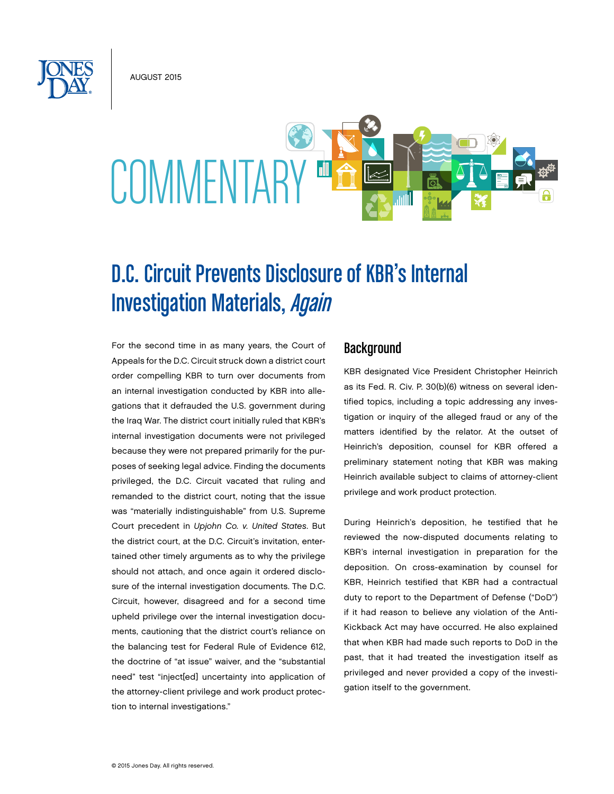AUGUST 2015



# D.C. Circuit Prevents Disclosure of KBR's Internal **Investigation Materials, Again**

For the second time in as many years, the Court of Appeals for the D.C. Circuit struck down a district court order compelling KBR to turn over documents from an internal investigation conducted by KBR into allegations that it defrauded the U.S. government during the Iraq War. The district court initially ruled that KBR's internal investigation documents were not privileged because they were not prepared primarily for the purposes of seeking legal advice. Finding the documents privileged, the D.C. Circuit vacated that ruling and remanded to the district court, noting that the issue was "materially indistinguishable" from U.S. Supreme Court precedent in *Upjohn Co. v. United States*. But the district court, at the D.C. Circuit's invitation, entertained other timely arguments as to why the privilege should not attach, and once again it ordered disclosure of the internal investigation documents. The D.C. Circuit, however, disagreed and for a second time upheld privilege over the internal investigation documents, cautioning that the district court's reliance on the balancing test for Federal Rule of Evidence 612, the doctrine of "at issue" waiver, and the "substantial need" test "inject[ed] uncertainty into application of the attorney-client privilege and work product protection to internal investigations."

### **Background**

KBR designated Vice President Christopher Heinrich as its Fed. R. Civ. P. 30(b)(6) witness on several identified topics, including a topic addressing any investigation or inquiry of the alleged fraud or any of the matters identified by the relator. At the outset of Heinrich's deposition, counsel for KBR offered a preliminary statement noting that KBR was making Heinrich available subject to claims of attorney-client privilege and work product protection.

During Heinrich's deposition, he testified that he reviewed the now-disputed documents relating to KBR's internal investigation in preparation for the deposition. On cross-examination by counsel for KBR, Heinrich testified that KBR had a contractual duty to report to the Department of Defense ("DoD") if it had reason to believe any violation of the Anti-Kickback Act may have occurred. He also explained that when KBR had made such reports to DoD in the past, that it had treated the investigation itself as privileged and never provided a copy of the investigation itself to the government.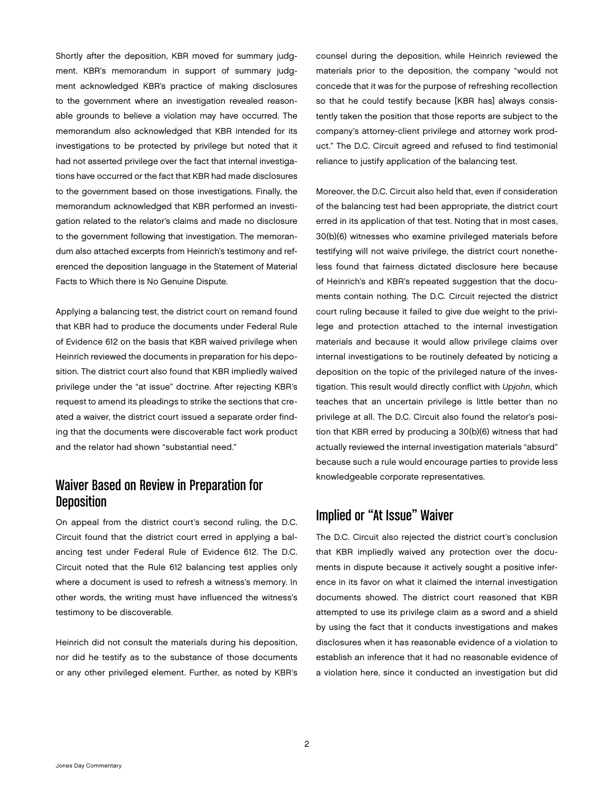Shortly after the deposition, KBR moved for summary judgment. KBR's memorandum in support of summary judgment acknowledged KBR's practice of making disclosures to the government where an investigation revealed reasonable grounds to believe a violation may have occurred. The memorandum also acknowledged that KBR intended for its investigations to be protected by privilege but noted that it had not asserted privilege over the fact that internal investigations have occurred or the fact that KBR had made disclosures to the government based on those investigations. Finally, the memorandum acknowledged that KBR performed an investigation related to the relator's claims and made no disclosure to the government following that investigation. The memorandum also attached excerpts from Heinrich's testimony and referenced the deposition language in the Statement of Material Facts to Which there is No Genuine Dispute.

Applying a balancing test, the district court on remand found that KBR had to produce the documents under Federal Rule of Evidence 612 on the basis that KBR waived privilege when Heinrich reviewed the documents in preparation for his deposition. The district court also found that KBR impliedly waived privilege under the "at issue" doctrine. After rejecting KBR's request to amend its pleadings to strike the sections that created a waiver, the district court issued a separate order finding that the documents were discoverable fact work product and the relator had shown "substantial need."

## Waiver Based on Review in Preparation for **Deposition**

On appeal from the district court's second ruling, the D.C. Circuit found that the district court erred in applying a balancing test under Federal Rule of Evidence 612. The D.C. Circuit noted that the Rule 612 balancing test applies only where a document is used to refresh a witness's memory. In other words, the writing must have influenced the witness's testimony to be discoverable.

Heinrich did not consult the materials during his deposition, nor did he testify as to the substance of those documents or any other privileged element. Further, as noted by KBR's counsel during the deposition, while Heinrich reviewed the materials prior to the deposition, the company "would not concede that it was for the purpose of refreshing recollection so that he could testify because [KBR has] always consistently taken the position that those reports are subject to the company's attorney-client privilege and attorney work product." The D.C. Circuit agreed and refused to find testimonial reliance to justify application of the balancing test.

Moreover, the D.C. Circuit also held that, even if consideration of the balancing test had been appropriate, the district court erred in its application of that test. Noting that in most cases, 30(b)(6) witnesses who examine privileged materials before testifying will not waive privilege, the district court nonetheless found that fairness dictated disclosure here because of Heinrich's and KBR's repeated suggestion that the documents contain nothing. The D.C. Circuit rejected the district court ruling because it failed to give due weight to the privilege and protection attached to the internal investigation materials and because it would allow privilege claims over internal investigations to be routinely defeated by noticing a deposition on the topic of the privileged nature of the investigation. This result would directly conflict with *Upjohn*, which teaches that an uncertain privilege is little better than no privilege at all. The D.C. Circuit also found the relator's position that KBR erred by producing a 30(b)(6) witness that had actually reviewed the internal investigation materials "absurd" because such a rule would encourage parties to provide less knowledgeable corporate representatives.

## Implied or "At Issue" Waiver

The D.C. Circuit also rejected the district court's conclusion that KBR impliedly waived any protection over the documents in dispute because it actively sought a positive inference in its favor on what it claimed the internal investigation documents showed. The district court reasoned that KBR attempted to use its privilege claim as a sword and a shield by using the fact that it conducts investigations and makes disclosures when it has reasonable evidence of a violation to establish an inference that it had no reasonable evidence of a violation here, since it conducted an investigation but did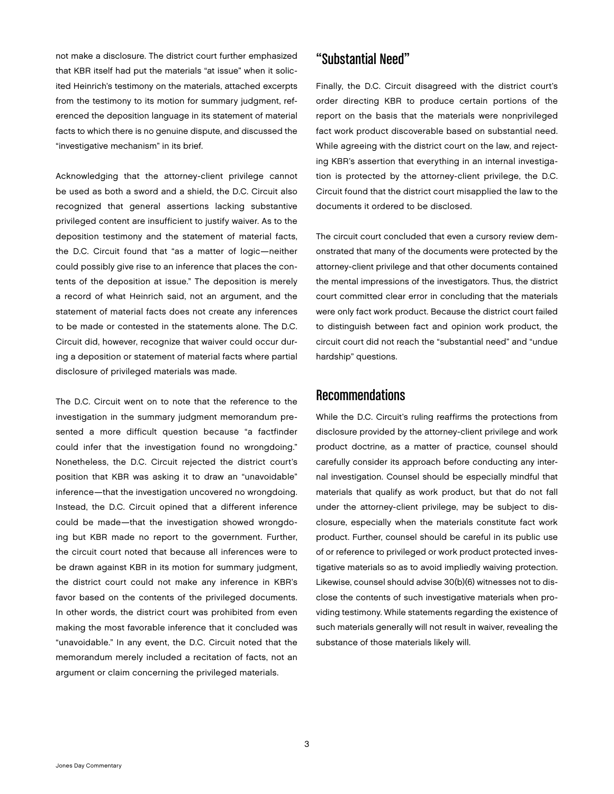not make a disclosure. The district court further emphasized that KBR itself had put the materials "at issue" when it solicited Heinrich's testimony on the materials, attached excerpts from the testimony to its motion for summary judgment, referenced the deposition language in its statement of material facts to which there is no genuine dispute, and discussed the "investigative mechanism" in its brief.

Acknowledging that the attorney-client privilege cannot be used as both a sword and a shield, the D.C. Circuit also recognized that general assertions lacking substantive privileged content are insufficient to justify waiver. As to the deposition testimony and the statement of material facts, the D.C. Circuit found that "as a matter of logic—neither could possibly give rise to an inference that places the contents of the deposition at issue." The deposition is merely a record of what Heinrich said, not an argument, and the statement of material facts does not create any inferences to be made or contested in the statements alone. The D.C. Circuit did, however, recognize that waiver could occur during a deposition or statement of material facts where partial disclosure of privileged materials was made.

The D.C. Circuit went on to note that the reference to the investigation in the summary judgment memorandum presented a more difficult question because "a factfinder could infer that the investigation found no wrongdoing." Nonetheless, the D.C. Circuit rejected the district court's position that KBR was asking it to draw an "unavoidable" inference—that the investigation uncovered no wrongdoing. Instead, the D.C. Circuit opined that a different inference could be made—that the investigation showed wrongdoing but KBR made no report to the government. Further, the circuit court noted that because all inferences were to be drawn against KBR in its motion for summary judgment, the district court could not make any inference in KBR's favor based on the contents of the privileged documents. In other words, the district court was prohibited from even making the most favorable inference that it concluded was "unavoidable." In any event, the D.C. Circuit noted that the memorandum merely included a recitation of facts, not an argument or claim concerning the privileged materials.

#### "Substantial Need"

Finally, the D.C. Circuit disagreed with the district court's order directing KBR to produce certain portions of the report on the basis that the materials were nonprivileged fact work product discoverable based on substantial need. While agreeing with the district court on the law, and rejecting KBR's assertion that everything in an internal investigation is protected by the attorney-client privilege, the D.C. Circuit found that the district court misapplied the law to the documents it ordered to be disclosed.

The circuit court concluded that even a cursory review demonstrated that many of the documents were protected by the attorney-client privilege and that other documents contained the mental impressions of the investigators. Thus, the district court committed clear error in concluding that the materials were only fact work product. Because the district court failed to distinguish between fact and opinion work product, the circuit court did not reach the "substantial need" and "undue hardship" questions.

#### **Recommendations**

While the D.C. Circuit's ruling reaffirms the protections from disclosure provided by the attorney-client privilege and work product doctrine, as a matter of practice, counsel should carefully consider its approach before conducting any internal investigation. Counsel should be especially mindful that materials that qualify as work product, but that do not fall under the attorney-client privilege, may be subject to disclosure, especially when the materials constitute fact work product. Further, counsel should be careful in its public use of or reference to privileged or work product protected investigative materials so as to avoid impliedly waiving protection. Likewise, counsel should advise 30(b)(6) witnesses not to disclose the contents of such investigative materials when providing testimony. While statements regarding the existence of such materials generally will not result in waiver, revealing the substance of those materials likely will.